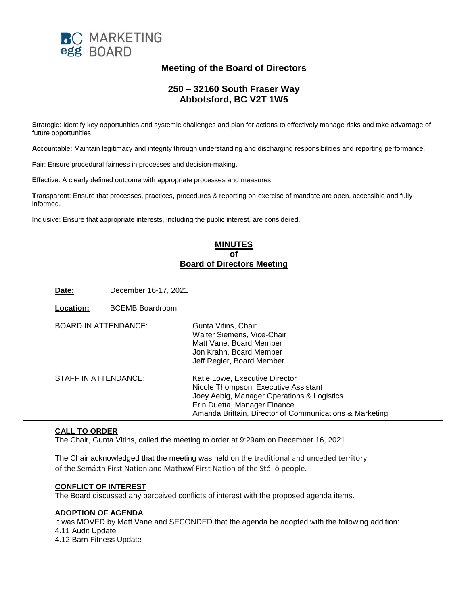

# **Meeting of the Board of Directors**

# **250 – 32160 South Fraser Way Abbotsford, BC V2T 1W5**

**S**trategic: Identify key opportunities and systemic challenges and plan for actions to effectively manage risks and take advantage of future opportunities.

**A**ccountable: Maintain legitimacy and integrity through understanding and discharging responsibilities and reporting performance.

**F**air: Ensure procedural fairness in processes and decision-making.

**E**ffective: A clearly defined outcome with appropriate processes and measures.

**T**ransparent: Ensure that processes, practices, procedures & reporting on exercise of mandate are open, accessible and fully informed.

**I**nclusive: Ensure that appropriate interests, including the public interest, are considered.

## **MINUTES of Board of Directors Meeting**

**Date:** December 16-17, 2021

| Location:                   | <b>BCEMB Boardroom</b> |                                                                                                                                                                                                                 |
|-----------------------------|------------------------|-----------------------------------------------------------------------------------------------------------------------------------------------------------------------------------------------------------------|
| <b>BOARD IN ATTENDANCE:</b> |                        | Gunta Vitins, Chair<br>Walter Siemens, Vice-Chair<br>Matt Vane, Board Member<br>Jon Krahn, Board Member<br>Jeff Regier, Board Member                                                                            |
| STAFF IN ATTENDANCE:        |                        | Katie Lowe, Executive Director<br>Nicole Thompson, Executive Assistant<br>Joey Aebig, Manager Operations & Logistics<br>Erin Duetta, Manager Finance<br>Amanda Brittain, Director of Communications & Marketing |

# **CALL TO ORDER**

The Chair, Gunta Vitins, called the meeting to order at 9:29am on December 16, 2021.

The Chair acknowledged that the meeting was held on the traditional and unceded territory of the Semá:th First Nation and Mathxwí First Nation of the Stó:lō people.

#### **CONFLICT OF INTEREST**

The Board discussed any perceived conflicts of interest with the proposed agenda items.

## **ADOPTION OF AGENDA**

It was MOVED by Matt Vane and SECONDED that the agenda be adopted with the following addition: 4.11 Audit Update 4.12 Barn Fitness Update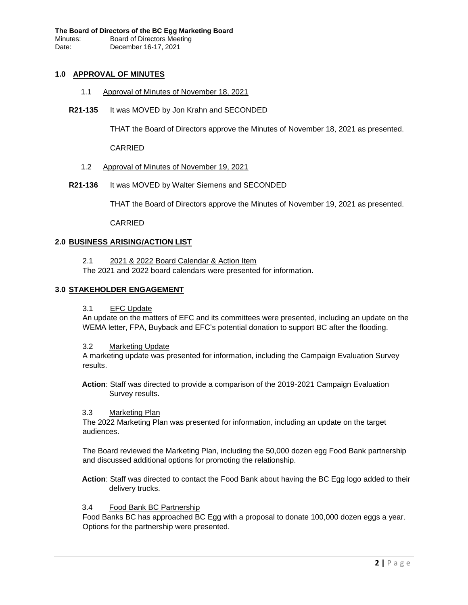## **1.0 APPROVAL OF MINUTES**

- 1.1 Approval of Minutes of November 18, 2021
- **R21-135** It was MOVED by Jon Krahn and SECONDED

THAT the Board of Directors approve the Minutes of November 18, 2021 as presented.

CARRIED

- 1.2 Approval of Minutes of November 19, 2021
- **R21-136** It was MOVED by Walter Siemens and SECONDED

THAT the Board of Directors approve the Minutes of November 19, 2021 as presented.

CARRIED

#### **2.0 BUSINESS ARISING/ACTION LIST**

2.1 2021 & 2022 Board Calendar & Action Item

The 2021 and 2022 board calendars were presented for information.

## **3.0 STAKEHOLDER ENGAGEMENT**

#### 3.1 EFC Update

An update on the matters of EFC and its committees were presented, including an update on the WEMA letter, FPA, Buyback and EFC's potential donation to support BC after the flooding.

#### 3.2 Marketing Update

A marketing update was presented for information, including the Campaign Evaluation Survey results.

**Action**: Staff was directed to provide a comparison of the 2019-2021 Campaign Evaluation Survey results.

#### 3.3 Marketing Plan

The 2022 Marketing Plan was presented for information, including an update on the target audiences.

The Board reviewed the Marketing Plan, including the 50,000 dozen egg Food Bank partnership and discussed additional options for promoting the relationship.

**Action**: Staff was directed to contact the Food Bank about having the BC Egg logo added to their delivery trucks.

#### 3.4 Food Bank BC Partnership

Food Banks BC has approached BC Egg with a proposal to donate 100,000 dozen eggs a year. Options for the partnership were presented.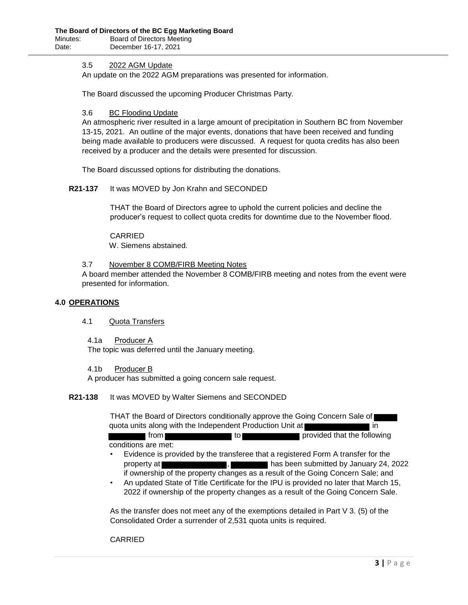#### 3.5 2022 AGM Update

An update on the 2022 AGM preparations was presented for information.

The Board discussed the upcoming Producer Christmas Party.

#### 3.6 BC Flooding Update

An atmospheric river resulted in a large amount of precipitation in Southern BC from November 13-15, 2021. An outline of the major events, donations that have been received and funding being made available to producers were discussed. A request for quota credits has also been received by a producer and the details were presented for discussion.

The Board discussed options for distributing the donations.

#### **R21-137** It was MOVED by Jon Krahn and SECONDED

THAT the Board of Directors agree to uphold the current policies and decline the producer's request to collect quota credits for downtime due to the November flood.

CARRIED W. Siemens abstained.

#### 3.7 November 8 COMB/FIRB Meeting Notes

A board member attended the November 8 COMB/FIRB meeting and notes from the event were presented for information.

#### **4.0 OPERATIONS**

#### 4.1 Quota Transfers

4.1a Producer A

The topic was deferred until the January meeting.

## 4.1b Producer B

A producer has submitted a going concern sale request.

## **R21-138** It was MOVED by Walter Siemens and SECONDED

THAT the Board of Directors conditionally approve the Going Concern Sale of quota units along with the Independent Production Unit at **interest and in** in from the provided that the following

conditions are met:

- Evidence is provided by the transferee that a registered Form A transfer for the property at , has been submitted by January 24, 2022 if ownership of the property changes as a result of the Going Concern Sale; and
- An updated State of Title Certificate for the IPU is provided no later that March 15, 2022 if ownership of the property changes as a result of the Going Concern Sale.

As the transfer does not meet any of the exemptions detailed in Part V 3. (5) of the Consolidated Order a surrender of 2,531 quota units is required.

CARRIED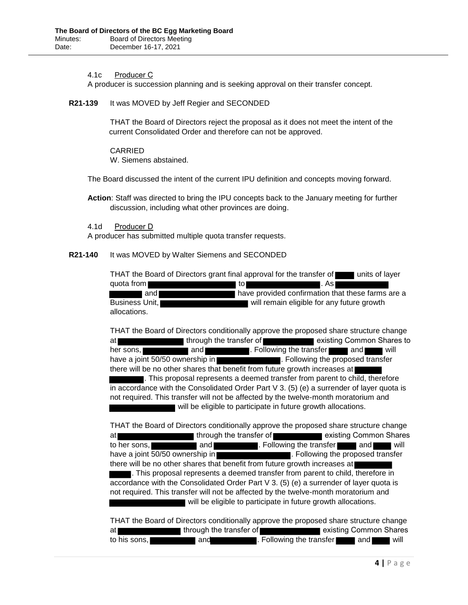## 4.1c Producer C

A producer is succession planning and is seeking approval on their transfer concept.

## **R21-139** It was MOVED by Jeff Regier and SECONDED

THAT the Board of Directors reject the proposal as it does not meet the intent of the current Consolidated Order and therefore can not be approved.

CARRIED W. Siemens abstained.

The Board discussed the intent of the current IPU definition and concepts moving forward.

**Action**: Staff was directed to bring the IPU concepts back to the January meeting for further discussion, including what other provinces are doing.

4.1d Producer D

A producer has submitted multiple quota transfer requests.

#### **R21-140** It was MOVED by Walter Siemens and SECONDED

THAT the Board of Directors grant final approval for the transfer of units of layer quota from **the contract of the contract of the contract of the contract of the contract of the contract of the contract of the contract of the contract of the contract of the contract of the contract of the contract of th** and **have provided confirmation that these farms are a** Business Unit, will remain eligible for any future growth allocations.

THAT the Board of Directors conditionally approve the proposed share structure change at through the transfer of existing Common Shares to her sons, **and and and and and . Following the transfer and and will** have a joint 50/50 ownership in **Example 2.** Following the proposed transfer there will be no other shares that benefit from future growth increases at . This proposal represents a deemed transfer from parent to child, therefore in accordance with the Consolidated Order Part  $V$  3. (5) (e) a surrender of layer quota is not required. This transfer will not be affected by the twelve-month moratorium and will be eligible to participate in future growth allocations.

THAT the Board of Directors conditionally approve the proposed share structure change at through the transfer of existing Common Shares to her sons, and . Following the transfer and will have a joint 50/50 ownership in **the above a stranger of the proposed transfer** . Following the proposed transfer there will be no other shares that benefit from future growth increases at . This proposal represents a deemed transfer from parent to child, therefore in accordance with the Consolidated Order Part V 3. (5) (e) a surrender of layer quota is not required. This transfer will not be affected by the twelve-month moratorium and will be eligible to participate in future growth allocations.

THAT the Board of Directors conditionally approve the proposed share structure change at through the transfer of existing Common Shares to his sons, and . Following the transfer and will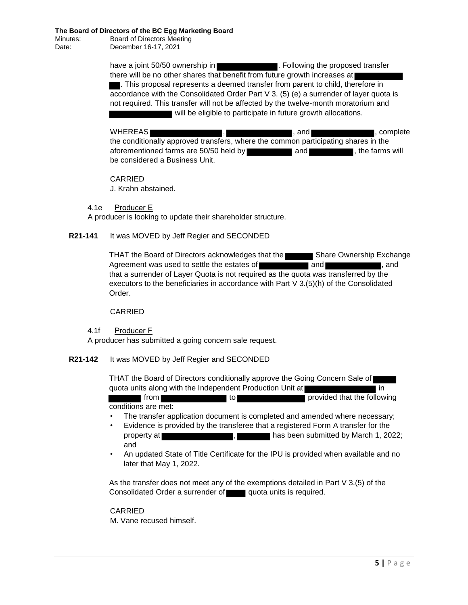have a joint 50/50 ownership in **Example 2018**. Following the proposed transfer there will be no other shares that benefit from future growth increases at . This proposal represents a deemed transfer from parent to child, therefore in accordance with the Consolidated Order Part V 3. (5) (e) a surrender of layer quota is not required. This transfer will not be affected by the twelve-month moratorium and will be eligible to participate in future growth allocations.

WHEREAS , , and , complete the conditionally approved transfers, where the common participating shares in the aforementioned farms are 50/50 held by and and and the farms will be considered a Business Unit.

CARRIED

J. Krahn abstained.

4.1e Producer E

A producer is looking to update their shareholder structure.

## **R21-141** It was MOVED by Jeff Regier and SECONDED

THAT the Board of Directors acknowledges that the Share Ownership Exchange Agreement was used to settle the estates of **and and set and set and set and set and set and set and set and set and set and set and set and set and set and set and set and set and set and set and set and set and set and s** that a surrender of Layer Quota is not required as the quota was transferred by the executors to the beneficiaries in accordance with Part V 3.(5)(h) of the Consolidated Order.

## CARRIED

## 4.1f Producer F

A producer has submitted a going concern sale request.

## **R21-142** It was MOVED by Jeff Regier and SECONDED

THAT the Board of Directors conditionally approve the Going Concern Sale of quota units along with the Independent Production Unit at **in** in

from to provided that the following conditions are met:

- The transfer application document is completed and amended where necessary;
- Evidence is provided by the transferee that a registered Form A transfer for the property at , has been submitted by March 1, 2022; and
- An updated State of Title Certificate for the IPU is provided when available and no later that May 1, 2022.

As the transfer does not meet any of the exemptions detailed in Part V 3.(5) of the Consolidated Order a surrender of quota units is required.

## CARRIED

M. Vane recused himself.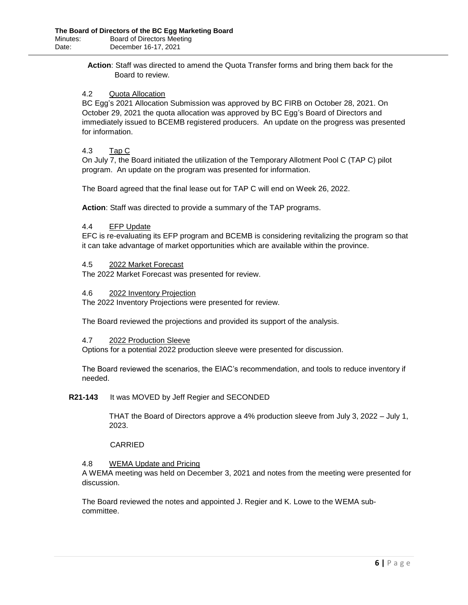**Action**: Staff was directed to amend the Quota Transfer forms and bring them back for the Board to review.

## 4.2 Quota Allocation

BC Egg's 2021 Allocation Submission was approved by BC FIRB on October 28, 2021. On October 29, 2021 the quota allocation was approved by BC Egg's Board of Directors and immediately issued to BCEMB registered producers. An update on the progress was presented for information.

#### 4.3 Tap C

On July 7, the Board initiated the utilization of the Temporary Allotment Pool C (TAP C) pilot program. An update on the program was presented for information.

The Board agreed that the final lease out for TAP C will end on Week 26, 2022.

**Action**: Staff was directed to provide a summary of the TAP programs.

#### 4.4 EFP Update

EFC is re-evaluating its EFP program and BCEMB is considering revitalizing the program so that it can take advantage of market opportunities which are available within the province.

#### 4.5 2022 Market Forecast

The 2022 Market Forecast was presented for review.

#### 4.6 2022 Inventory Projection

The 2022 Inventory Projections were presented for review.

The Board reviewed the projections and provided its support of the analysis.

#### 4.7 2022 Production Sleeve

Options for a potential 2022 production sleeve were presented for discussion.

The Board reviewed the scenarios, the EIAC's recommendation, and tools to reduce inventory if needed.

## **R21-143** It was MOVED by Jeff Regier and SECONDED

THAT the Board of Directors approve a 4% production sleeve from July 3, 2022 – July 1, 2023.

#### CARRIED

## 4.8 WEMA Update and Pricing

A WEMA meeting was held on December 3, 2021 and notes from the meeting were presented for discussion.

The Board reviewed the notes and appointed J. Regier and K. Lowe to the WEMA subcommittee.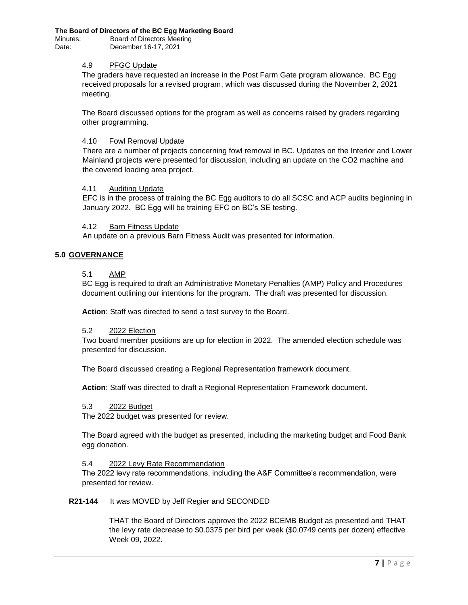#### 4.9 PFGC Update

The graders have requested an increase in the Post Farm Gate program allowance. BC Egg received proposals for a revised program, which was discussed during the November 2, 2021 meeting.

The Board discussed options for the program as well as concerns raised by graders regarding other programming.

#### 4.10 Fowl Removal Update

There are a number of projects concerning fowl removal in BC. Updates on the Interior and Lower Mainland projects were presented for discussion, including an update on the CO2 machine and the covered loading area project.

## 4.11 Auditing Update

EFC is in the process of training the BC Egg auditors to do all SCSC and ACP audits beginning in January 2022. BC Egg will be training EFC on BC's SE testing.

## 4.12 Barn Fitness Update

An update on a previous Barn Fitness Audit was presented for information.

## **5.0 GOVERNANCE**

#### 5.1 AMP

BC Egg is required to draft an Administrative Monetary Penalties (AMP) Policy and Procedures document outlining our intentions for the program. The draft was presented for discussion.

**Action**: Staff was directed to send a test survey to the Board.

#### 5.2 2022 Election

Two board member positions are up for election in 2022. The amended election schedule was presented for discussion.

The Board discussed creating a Regional Representation framework document.

**Action**: Staff was directed to draft a Regional Representation Framework document.

#### 5.3 2022 Budget

The 2022 budget was presented for review.

The Board agreed with the budget as presented, including the marketing budget and Food Bank egg donation.

#### 5.4 2022 Levy Rate Recommendation

The 2022 levy rate recommendations, including the A&F Committee's recommendation, were presented for review.

#### **R21-144** It was MOVED by Jeff Regier and SECONDED

THAT the Board of Directors approve the 2022 BCEMB Budget as presented and THAT the levy rate decrease to \$0.0375 per bird per week (\$0.0749 cents per dozen) effective Week 09, 2022.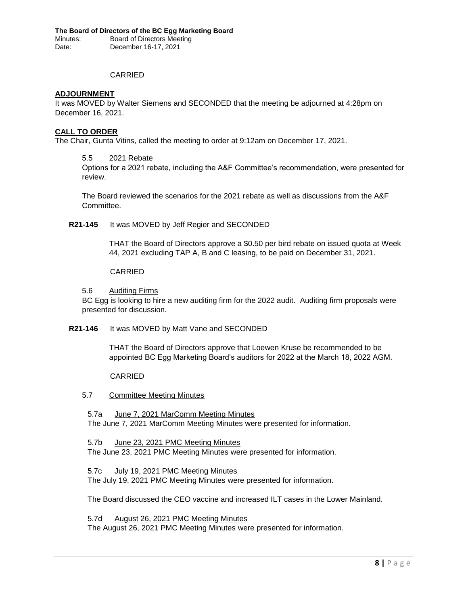## CARRIED

## **ADJOURNMENT**

It was MOVED by Walter Siemens and SECONDED that the meeting be adjourned at 4:28pm on December 16, 2021.

## **CALL TO ORDER**

The Chair, Gunta Vitins, called the meeting to order at 9:12am on December 17, 2021.

## 5.5 2021 Rebate

Options for a 2021 rebate, including the A&F Committee's recommendation, were presented for review.

The Board reviewed the scenarios for the 2021 rebate as well as discussions from the A&F Committee.

## **R21-145** It was MOVED by Jeff Regier and SECONDED

THAT the Board of Directors approve a \$0.50 per bird rebate on issued quota at Week 44, 2021 excluding TAP A, B and C leasing, to be paid on December 31, 2021.

#### CARRIED

5.6 Auditing Firms

BC Egg is looking to hire a new auditing firm for the 2022 audit. Auditing firm proposals were presented for discussion.

## **R21-146** It was MOVED by Matt Vane and SECONDED

THAT the Board of Directors approve that Loewen Kruse be recommended to be appointed BC Egg Marketing Board's auditors for 2022 at the March 18, 2022 AGM.

## CARRIED

## 5.7 Committee Meeting Minutes

5.7a June 7, 2021 MarComm Meeting Minutes The June 7, 2021 MarComm Meeting Minutes were presented for information.

5.7b June 23, 2021 PMC Meeting Minutes

The June 23, 2021 PMC Meeting Minutes were presented for information.

5.7c July 19, 2021 PMC Meeting Minutes

The July 19, 2021 PMC Meeting Minutes were presented for information.

The Board discussed the CEO vaccine and increased ILT cases in the Lower Mainland.

5.7d August 26, 2021 PMC Meeting Minutes The August 26, 2021 PMC Meeting Minutes were presented for information.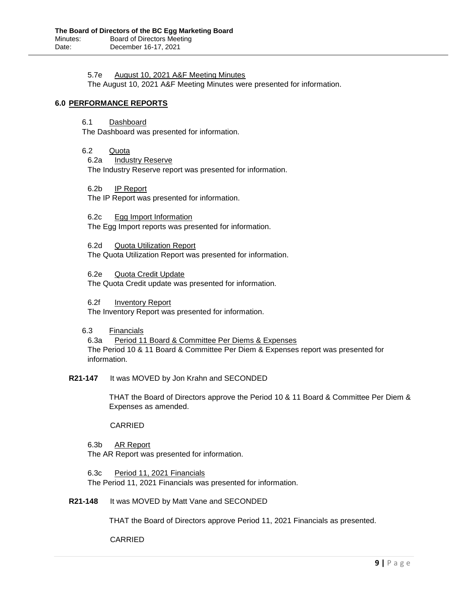#### 5.7e August 10, 2021 A&F Meeting Minutes

The August 10, 2021 A&F Meeting Minutes were presented for information.

## **6.0 PERFORMANCE REPORTS**

6.1 Dashboard

The Dashboard was presented for information.

- 6.2 Quota
	- 6.2a Industry Reserve

The Industry Reserve report was presented for information.

6.2b IP Report The IP Report was presented for information.

6.2c Egg Import Information The Egg Import reports was presented for information.

6.2d Quota Utilization Report The Quota Utilization Report was presented for information.

6.2e Quota Credit Update The Quota Credit update was presented for information.

6.2f Inventory Report The Inventory Report was presented for information.

## 6.3 Financials

6.3a Period 11 Board & Committee Per Diems & Expenses The Period 10 & 11 Board & Committee Per Diem & Expenses report was presented for information.

## **R21-147** It was MOVED by Jon Krahn and SECONDED

THAT the Board of Directors approve the Period 10 & 11 Board & Committee Per Diem & Expenses as amended.

## CARRIED

## 6.3b AR Report

The AR Report was presented for information.

## 6.3c Period 11, 2021 Financials

The Period 11, 2021 Financials was presented for information.

## **R21-148** It was MOVED by Matt Vane and SECONDED

THAT the Board of Directors approve Period 11, 2021 Financials as presented.

CARRIED